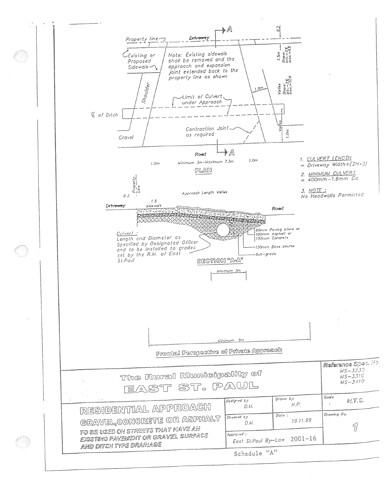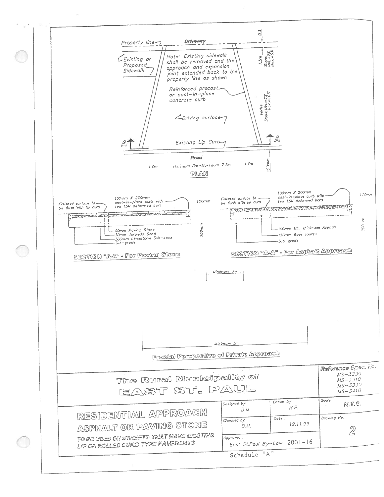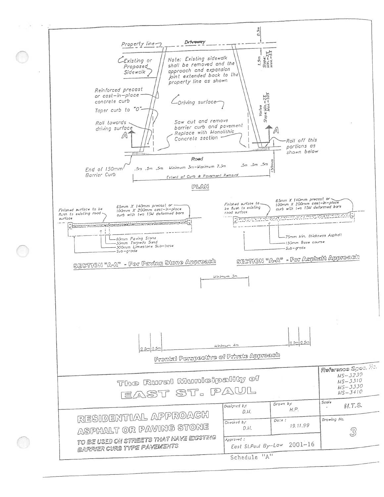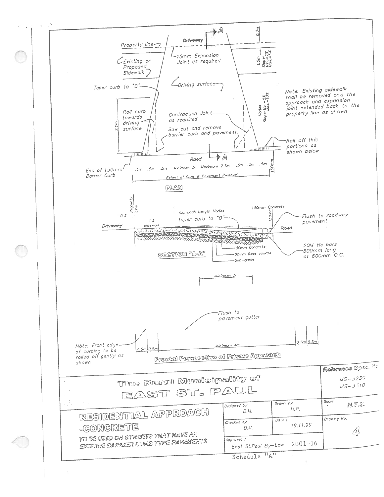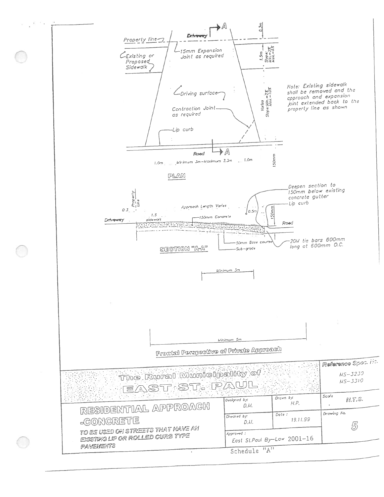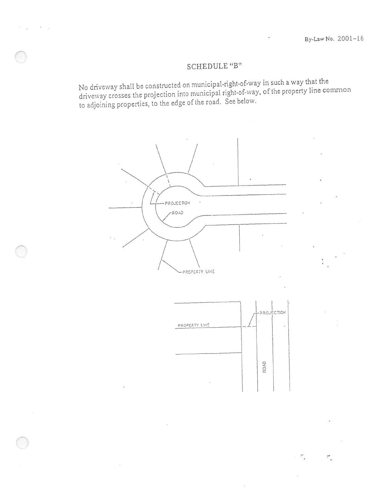$\tilde{\mathcal{L}}$ 

π.

## SCHEDULE "B"

No driveway shall be constructed on municipal-right-of-way in such a way that the driveway crosses the projection into municipal right-of-way, of the property line common to adjoining properties, to the edge of the road. S